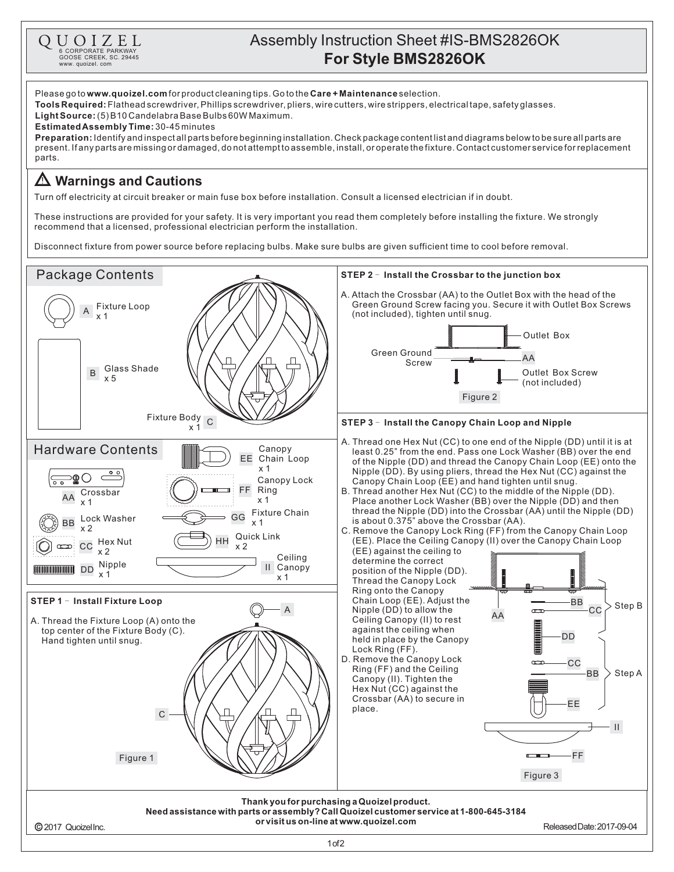

GOOSE CREEK, SC. 29445 www. quoizel. com